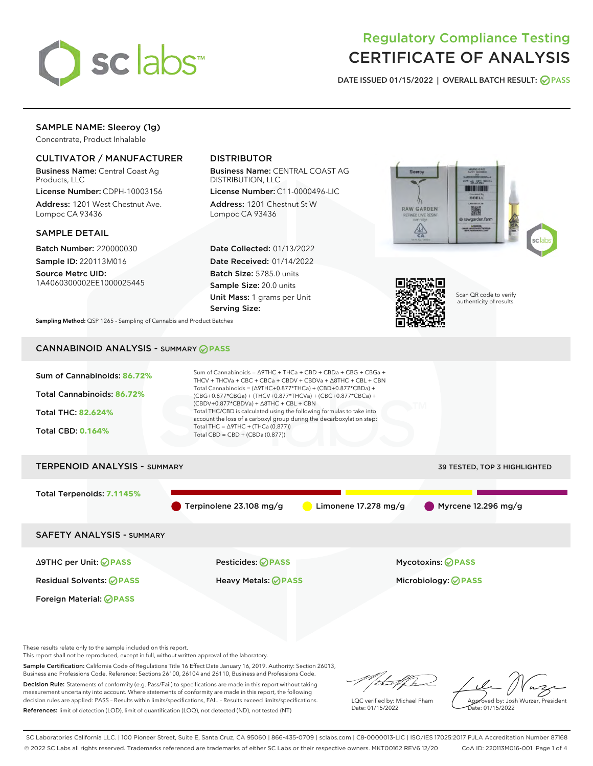

# Regulatory Compliance Testing CERTIFICATE OF ANALYSIS

DATE ISSUED 01/15/2022 | OVERALL BATCH RESULT: @ PASS

# SAMPLE NAME: Sleeroy (1g)

Concentrate, Product Inhalable

# CULTIVATOR / MANUFACTURER

Business Name: Central Coast Ag Products, LLC

License Number: CDPH-10003156 Address: 1201 West Chestnut Ave. Lompoc CA 93436

### SAMPLE DETAIL

Batch Number: 220000030 Sample ID: 220113M016

Source Metrc UID: 1A4060300002EE1000025445

# DISTRIBUTOR

Business Name: CENTRAL COAST AG DISTRIBUTION, LLC

License Number: C11-0000496-LIC Address: 1201 Chestnut St W Lompoc CA 93436

Date Collected: 01/13/2022 Date Received: 01/14/2022 Batch Size: 5785.0 units Sample Size: 20.0 units Unit Mass: 1 grams per Unit Serving Size:





Scan QR code to verify authenticity of results.

Sampling Method: QSP 1265 - Sampling of Cannabis and Product Batches

# CANNABINOID ANALYSIS - SUMMARY **PASS**



Sample Certification: California Code of Regulations Title 16 Effect Date January 16, 2019. Authority: Section 26013, Business and Professions Code. Reference: Sections 26100, 26104 and 26110, Business and Professions Code. Decision Rule: Statements of conformity (e.g. Pass/Fail) to specifications are made in this report without taking

measurement uncertainty into account. Where statements of conformity are made in this report, the following decision rules are applied: PASS – Results within limits/specifications, FAIL – Results exceed limits/specifications. References: limit of detection (LOD), limit of quantification (LOQ), not detected (ND), not tested (NT)

that f ha

LQC verified by: Michael Pham Date: 01/15/2022

Approved by: Josh Wurzer, President ate: 01/15/2022

SC Laboratories California LLC. | 100 Pioneer Street, Suite E, Santa Cruz, CA 95060 | 866-435-0709 | sclabs.com | C8-0000013-LIC | ISO/IES 17025:2017 PJLA Accreditation Number 87168 © 2022 SC Labs all rights reserved. Trademarks referenced are trademarks of either SC Labs or their respective owners. MKT00162 REV6 12/20 CoA ID: 220113M016-001 Page 1 of 4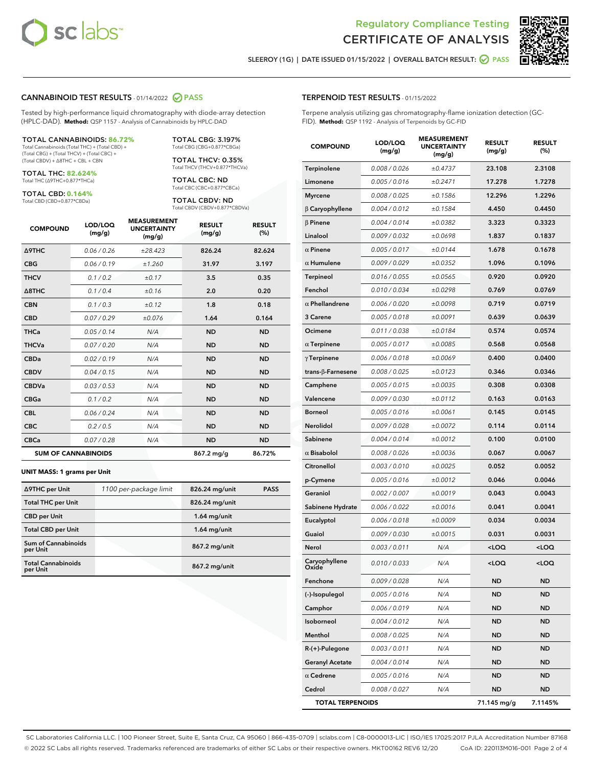

Terpene analysis utilizing gas chromatography-flame ionization detection (GC-



SLEEROY (1G) | DATE ISSUED 01/15/2022 | OVERALL BATCH RESULT: @ PASS

TERPENOID TEST RESULTS - 01/15/2022

#### CANNABINOID TEST RESULTS - 01/14/2022 2 PASS

Tested by high-performance liquid chromatography with diode-array detection (HPLC-DAD). **Method:** QSP 1157 - Analysis of Cannabinoids by HPLC-DAD

#### TOTAL CANNABINOIDS: **86.72%**

Total Cannabinoids (Total THC) + (Total CBD) + (Total CBG) + (Total THCV) + (Total CBC) + (Total CBDV) + ∆8THC + CBL + CBN

TOTAL THC: **82.624%** Total THC (∆9THC+0.877\*THCa)

TOTAL CBD: **0.164%**

Total CBD (CBD+0.877\*CBDa)

TOTAL CBG: 3.197% Total CBG (CBG+0.877\*CBGa)

TOTAL THCV: 0.35% Total THCV (THCV+0.877\*THCVa)

TOTAL CBC: ND Total CBC (CBC+0.877\*CBCa)

TOTAL CBDV: ND Total CBDV (CBDV+0.877\*CBDVa)

| <b>COMPOUND</b>  | LOD/LOQ<br>(mg/g)          | <b>MEASUREMENT</b><br><b>UNCERTAINTY</b><br>(mg/g) | <b>RESULT</b><br>(mg/g) | <b>RESULT</b><br>(%) |
|------------------|----------------------------|----------------------------------------------------|-------------------------|----------------------|
| <b>A9THC</b>     | 0.06 / 0.26                | ±28.423                                            | 826.24                  | 82.624               |
| <b>CBG</b>       | 0.06/0.19                  | ±1.260                                             | 31.97                   | 3.197                |
| <b>THCV</b>      | 0.1 / 0.2                  | ±0.17                                              | 3.5                     | 0.35                 |
| $\triangle$ 8THC | 0.1/0.4                    | ±0.16                                              | 2.0                     | 0.20                 |
| <b>CBN</b>       | 0.1/0.3                    | ±0.12                                              | 1.8                     | 0.18                 |
| <b>CBD</b>       | 0.07/0.29                  | ±0.076                                             | 1.64                    | 0.164                |
| <b>THCa</b>      | 0.05/0.14                  | N/A                                                | <b>ND</b>               | <b>ND</b>            |
| <b>THCVa</b>     | 0.07/0.20                  | N/A                                                | <b>ND</b>               | <b>ND</b>            |
| <b>CBDa</b>      | 0.02/0.19                  | N/A                                                | <b>ND</b>               | <b>ND</b>            |
| <b>CBDV</b>      | 0.04 / 0.15                | N/A                                                | <b>ND</b>               | <b>ND</b>            |
| <b>CBDVa</b>     | 0.03/0.53                  | N/A                                                | <b>ND</b>               | <b>ND</b>            |
| <b>CBGa</b>      | 0.1/0.2                    | N/A                                                | <b>ND</b>               | <b>ND</b>            |
| <b>CBL</b>       | 0.06 / 0.24                | N/A                                                | <b>ND</b>               | <b>ND</b>            |
| <b>CBC</b>       | 0.2 / 0.5                  | N/A                                                | <b>ND</b>               | <b>ND</b>            |
| <b>CBCa</b>      | 0.07/0.28                  | N/A                                                | <b>ND</b>               | <b>ND</b>            |
|                  | <b>SUM OF CANNABINOIDS</b> |                                                    | $867.2$ mg/g            | 86.72%               |

#### **UNIT MASS: 1 grams per Unit**

| ∆9THC per Unit                         | 1100 per-package limit | 826.24 mg/unit  | <b>PASS</b> |
|----------------------------------------|------------------------|-----------------|-------------|
| <b>Total THC per Unit</b>              |                        | 826.24 mg/unit  |             |
| <b>CBD per Unit</b>                    |                        | $1.64$ mg/unit  |             |
| <b>Total CBD per Unit</b>              |                        | $1.64$ mg/unit  |             |
| <b>Sum of Cannabinoids</b><br>per Unit |                        | 867.2 mg/unit   |             |
| <b>Total Cannabinoids</b><br>per Unit  |                        | $867.2$ mg/unit |             |

# FID). **Method:** QSP 1192 - Analysis of Terpenoids by GC-FID COMPOUND LOD/LOQ (mg/g) MEASUREMENT UNCERTAINTY (mg/g) RESULT (mg/g) RESULT (%) Terpinolene 0.008 / 0.026 ± 0.4737 23.108 2.3108 Limonene 0.005/0.016 ±0.2471 17.278 1.7278 Myrcene 0.008 / 0.025  $\pm 0.1586$  12.296 1.2296 β Caryophyllene 0.004 / 0.012 ± 0.1584 4.450 0.4450  $β$  Pinene  $0.004 / 0.014$   $± 0.0382$  3.323 0.3323 Linalool 0.009/0.032  $\pm 0.0698$  1.837 0.1837  $α$  Pinene  $0.005 / 0.017$   $± 0.0144$  1.678 0.1678  $α$  Humulene  $0.009 / 0.029$   $± 0.0352$  1.096 0.1096 Terpineol  $0.016 / 0.055$   $\pm 0.0565$  0.920 0.0920 Fenchol  $0.010 / 0.034$   $\pm 0.0298$  0.769 0.0769  $α$  Phellandrene  $0.006 / 0.020$   $± 0.0098$  0.719 0.0719 3 Carene 0.005 / 0.018 ± 0.0091 0.639 0.0639 **Ocimene**  $0.011/0.038$   $\pm 0.0184$  **0.574** 0.0574 α Terpinene  $0.005 / 0.017$   $± 0.0085$  0.568 0.0568  $γ$ Terpinene  $0.006 / 0.018$   $± 0.0069$  0.400 0.0400 trans-β-Farnesene 0.008 / 0.025 ± 0.0123 0.346 0.0346 Camphene  $0.005 / 0.015$   $\pm 0.0035$  0.308 0.0308 Valencene 0.009 / 0.030 ± 0.0112 0.163 0.0163 Borneol  $0.005 / 0.016 + 0.0061$  0.145 0.0145 Nerolidol  $0.009 / 0.028$   $\pm 0.0072$  0.114 0.0114 Sabinene 0.004 / 0.014 ± 0.0012 0.100 0.0100  $α$  Bisabolol  $0.008 / 0.026$   $± 0.0036$  0.067 0.0067  $\textsf{Citronellol} \qquad \qquad 0.003 \, \texttt{/} \, 0.010 \qquad \qquad \pm 0.0025 \qquad \qquad \qquad \textsf{0.0052}$ p-Cymene  $0.005 / 0.016$   $\pm 0.0012$  0.046 0.0046 Geraniol 0.002 / 0.007  $\pm 0.0019$  0.043 0.0043 Sabinene Hydrate  $0.006 / 0.022$   $\pm 0.0016$  0.041 0.0041 Eucalyptol 0.006/0.018  $\pm 0.0009$  0.034 0.0034 Guaiol  $0.009 / 0.030 = 0.0015$  0.0031 0.0031 Nerol 0.003 / 0.011 N/A <LOQ <LOQ Caryophyllene Oxide 0.010 / 0.033 N/A <LOQ <LOQ **Fenchone** 0.009/0.028 N/A ND ND (-)-Isopulegol 0.005 / 0.016 N/A ND ND Camphor 0.006 / 0.019 N/A ND ND Isoborneol 0.004 / 0.012 N/A ND ND Menthol 0.008/0.025 N/A ND ND

R-(+)-Pulegone 0.003 / 0.011 N/A ND ND Geranyl Acetate  $0.004 / 0.014$  N/A ND ND  $\alpha$  Cedrene  $0.005 / 0.016$  N/A ND ND Cedrol 0.008 / 0.027 N/A ND ND TOTAL TERPENOIDS 71.145 mg/g 7.1145%

SC Laboratories California LLC. | 100 Pioneer Street, Suite E, Santa Cruz, CA 95060 | 866-435-0709 | sclabs.com | C8-0000013-LIC | ISO/IES 17025:2017 PJLA Accreditation Number 87168 © 2022 SC Labs all rights reserved. Trademarks referenced are trademarks of either SC Labs or their respective owners. MKT00162 REV6 12/20 CoA ID: 220113M016-001 Page 2 of 4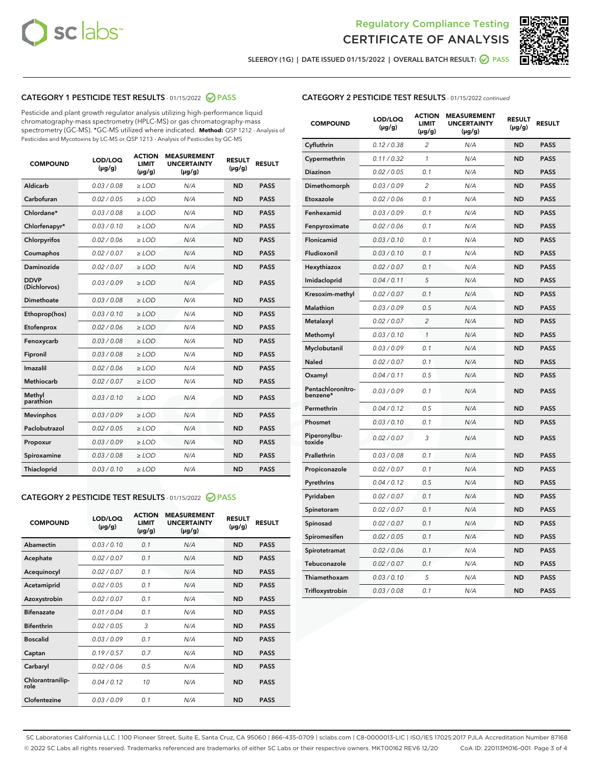



SLEEROY (1G) | DATE ISSUED 01/15/2022 | OVERALL BATCH RESULT:  $\bigcirc$  PASS

# CATEGORY 1 PESTICIDE TEST RESULTS - 01/15/2022 2 PASS

Pesticide and plant growth regulator analysis utilizing high-performance liquid chromatography-mass spectrometry (HPLC-MS) or gas chromatography-mass spectrometry (GC-MS). \*GC-MS utilized where indicated. **Method:** QSP 1212 - Analysis of Pesticides and Mycotoxins by LC-MS or QSP 1213 - Analysis of Pesticides by GC-MS

| <b>COMPOUND</b>             | LOD/LOQ<br>$(\mu g/g)$ | <b>ACTION</b><br><b>LIMIT</b><br>$(\mu g/g)$ | <b>MEASUREMENT</b><br><b>UNCERTAINTY</b><br>$(\mu g/g)$ | <b>RESULT</b><br>$(\mu g/g)$ | <b>RESULT</b> |
|-----------------------------|------------------------|----------------------------------------------|---------------------------------------------------------|------------------------------|---------------|
| Aldicarb                    | 0.03 / 0.08            | $\ge$ LOD                                    | N/A                                                     | <b>ND</b>                    | <b>PASS</b>   |
| Carbofuran                  | 0.02 / 0.05            | $>$ LOD                                      | N/A                                                     | <b>ND</b>                    | <b>PASS</b>   |
| Chlordane*                  | 0.03 / 0.08            | $\ge$ LOD                                    | N/A                                                     | <b>ND</b>                    | <b>PASS</b>   |
| Chlorfenapyr*               | 0.03/0.10              | $\ge$ LOD                                    | N/A                                                     | <b>ND</b>                    | <b>PASS</b>   |
| Chlorpyrifos                | 0.02 / 0.06            | $>$ LOD                                      | N/A                                                     | <b>ND</b>                    | <b>PASS</b>   |
| Coumaphos                   | 0.02 / 0.07            | $\ge$ LOD                                    | N/A                                                     | <b>ND</b>                    | <b>PASS</b>   |
| Daminozide                  | 0.02 / 0.07            | $\ge$ LOD                                    | N/A                                                     | <b>ND</b>                    | <b>PASS</b>   |
| <b>DDVP</b><br>(Dichlorvos) | 0.03/0.09              | $\ge$ LOD                                    | N/A                                                     | <b>ND</b>                    | <b>PASS</b>   |
| Dimethoate                  | 0.03/0.08              | $>$ LOD                                      | N/A                                                     | <b>ND</b>                    | <b>PASS</b>   |
| Ethoprop(hos)               | 0.03/0.10              | $\ge$ LOD                                    | N/A                                                     | <b>ND</b>                    | <b>PASS</b>   |
| Etofenprox                  | 0.02/0.06              | $>$ LOD                                      | N/A                                                     | <b>ND</b>                    | <b>PASS</b>   |
| Fenoxycarb                  | 0.03/0.08              | $\ge$ LOD                                    | N/A                                                     | <b>ND</b>                    | <b>PASS</b>   |
| Fipronil                    | 0.03/0.08              | $\ge$ LOD                                    | N/A                                                     | <b>ND</b>                    | <b>PASS</b>   |
| Imazalil                    | 0.02 / 0.06            | $\ge$ LOD                                    | N/A                                                     | <b>ND</b>                    | <b>PASS</b>   |
| Methiocarb                  | 0.02 / 0.07            | $\ge$ LOD                                    | N/A                                                     | <b>ND</b>                    | <b>PASS</b>   |
| Methyl<br>parathion         | 0.03/0.10              | $>$ LOD                                      | N/A                                                     | <b>ND</b>                    | <b>PASS</b>   |
| <b>Mevinphos</b>            | 0.03 / 0.09            | $>$ LOD                                      | N/A                                                     | <b>ND</b>                    | <b>PASS</b>   |
| Paclobutrazol               | 0.02 / 0.05            | $\ge$ LOD                                    | N/A                                                     | <b>ND</b>                    | <b>PASS</b>   |
| Propoxur                    | 0.03/0.09              | $\ge$ LOD                                    | N/A                                                     | <b>ND</b>                    | <b>PASS</b>   |
| Spiroxamine                 | 0.03 / 0.08            | $\ge$ LOD                                    | N/A                                                     | <b>ND</b>                    | <b>PASS</b>   |
| Thiacloprid                 | 0.03/0.10              | $\ge$ LOD                                    | N/A                                                     | <b>ND</b>                    | <b>PASS</b>   |

#### CATEGORY 2 PESTICIDE TEST RESULTS - 01/15/2022 2 PASS

| <b>COMPOUND</b>          | LOD/LOO<br>$(\mu g/g)$ | <b>ACTION</b><br>LIMIT<br>$(\mu g/g)$ | <b>MEASUREMENT</b><br><b>UNCERTAINTY</b><br>$(\mu g/g)$ | <b>RESULT</b><br>$(\mu g/g)$ | <b>RESULT</b> |  |
|--------------------------|------------------------|---------------------------------------|---------------------------------------------------------|------------------------------|---------------|--|
| Abamectin                | 0.03/0.10              | 0.1                                   | N/A                                                     | <b>ND</b>                    | <b>PASS</b>   |  |
| Acephate                 | 0.02/0.07              | 0.1                                   | N/A                                                     | <b>ND</b>                    | <b>PASS</b>   |  |
| Acequinocyl              | 0.02/0.07              | 0.1                                   | N/A                                                     | <b>ND</b>                    | <b>PASS</b>   |  |
| Acetamiprid              | 0.02 / 0.05            | 0.1                                   | N/A                                                     | <b>ND</b>                    | <b>PASS</b>   |  |
| Azoxystrobin             | 0.02/0.07              | 0.1                                   | N/A                                                     | <b>ND</b>                    | <b>PASS</b>   |  |
| <b>Bifenazate</b>        | 0.01 / 0.04            | 0.1                                   | N/A                                                     | <b>ND</b>                    | <b>PASS</b>   |  |
| <b>Bifenthrin</b>        | 0.02/0.05              | 3                                     | N/A                                                     | <b>ND</b>                    | <b>PASS</b>   |  |
| <b>Boscalid</b>          | 0.03/0.09              | 0.1                                   | N/A                                                     | <b>ND</b>                    | <b>PASS</b>   |  |
| Captan                   | 0.19/0.57              | 0.7                                   | N/A                                                     | <b>ND</b>                    | <b>PASS</b>   |  |
| Carbaryl                 | 0.02/0.06              | 0.5                                   | N/A                                                     | <b>ND</b>                    | <b>PASS</b>   |  |
| Chlorantranilip-<br>role | 0.04/0.12              | 10                                    | N/A                                                     | <b>ND</b>                    | <b>PASS</b>   |  |
| Clofentezine             | 0.03/0.09              | 0.1                                   | N/A                                                     | <b>ND</b>                    | <b>PASS</b>   |  |

| <b>CATEGORY 2 PESTICIDE TEST RESULTS</b> - 01/15/2022 continued |  |
|-----------------------------------------------------------------|--|
|-----------------------------------------------------------------|--|

| <b>COMPOUND</b>               | LOD/LOQ<br>(µg/g) | <b>ACTION</b><br>LIMIT<br>(µg/g) | <b>MEASUREMENT</b><br><b>UNCERTAINTY</b><br>(µg/g) | <b>RESULT</b><br>(µg/g) | <b>RESULT</b> |
|-------------------------------|-------------------|----------------------------------|----------------------------------------------------|-------------------------|---------------|
| Cyfluthrin                    | 0.12 / 0.38       | $\overline{c}$                   | N/A                                                | <b>ND</b>               | <b>PASS</b>   |
| Cypermethrin                  | 0.11/0.32         | 1                                | N/A                                                | <b>ND</b>               | <b>PASS</b>   |
| Diazinon                      | 0.02 / 0.05       | 0.1                              | N/A                                                | <b>ND</b>               | <b>PASS</b>   |
| Dimethomorph                  | 0.03 / 0.09       | 2                                | N/A                                                | <b>ND</b>               | <b>PASS</b>   |
| Etoxazole                     | 0.02 / 0.06       | 0.1                              | N/A                                                | <b>ND</b>               | <b>PASS</b>   |
| Fenhexamid                    | 0.03 / 0.09       | 0.1                              | N/A                                                | <b>ND</b>               | <b>PASS</b>   |
| Fenpyroximate                 | 0.02 / 0.06       | 0.1                              | N/A                                                | <b>ND</b>               | <b>PASS</b>   |
| Flonicamid                    | 0.03 / 0.10       | 0.1                              | N/A                                                | <b>ND</b>               | <b>PASS</b>   |
| Fludioxonil                   | 0.03 / 0.10       | 0.1                              | N/A                                                | <b>ND</b>               | <b>PASS</b>   |
| Hexythiazox                   | 0.02 / 0.07       | 0.1                              | N/A                                                | <b>ND</b>               | <b>PASS</b>   |
| Imidacloprid                  | 0.04 / 0.11       | 5                                | N/A                                                | <b>ND</b>               | <b>PASS</b>   |
| Kresoxim-methyl               | 0.02 / 0.07       | 0.1                              | N/A                                                | <b>ND</b>               | <b>PASS</b>   |
| Malathion                     | 0.03 / 0.09       | 0.5                              | N/A                                                | <b>ND</b>               | <b>PASS</b>   |
| Metalaxyl                     | 0.02 / 0.07       | 2                                | N/A                                                | <b>ND</b>               | <b>PASS</b>   |
| Methomyl                      | 0.03 / 0.10       | $\mathcal{I}$                    | N/A                                                | <b>ND</b>               | <b>PASS</b>   |
| Myclobutanil                  | 0.03 / 0.09       | 0.1                              | N/A                                                | <b>ND</b>               | <b>PASS</b>   |
| Naled                         | 0.02 / 0.07       | 0.1                              | N/A                                                | <b>ND</b>               | <b>PASS</b>   |
| Oxamyl                        | 0.04 / 0.11       | 0.5                              | N/A                                                | <b>ND</b>               | <b>PASS</b>   |
| Pentachloronitro-<br>benzene* | 0.03 / 0.09       | 0.1                              | N/A                                                | <b>ND</b>               | <b>PASS</b>   |
| Permethrin                    | 0.04/0.12         | 0.5                              | N/A                                                | <b>ND</b>               | <b>PASS</b>   |
| Phosmet                       | 0.03 / 0.10       | 0.1                              | N/A                                                | <b>ND</b>               | <b>PASS</b>   |
| Piperonylbu-<br>toxide        | 0.02 / 0.07       | 3                                | N/A                                                | <b>ND</b>               | <b>PASS</b>   |
| Prallethrin                   | 0.03 / 0.08       | 0.1                              | N/A                                                | <b>ND</b>               | <b>PASS</b>   |
| Propiconazole                 | 0.02 / 0.07       | 0.1                              | N/A                                                | <b>ND</b>               | <b>PASS</b>   |
| Pyrethrins                    | 0.04 / 0.12       | 0.5                              | N/A                                                | <b>ND</b>               | <b>PASS</b>   |
| Pyridaben                     | 0.02 / 0.07       | 0.1                              | N/A                                                | <b>ND</b>               | <b>PASS</b>   |
| Spinetoram                    | 0.02 / 0.07       | 0.1                              | N/A                                                | <b>ND</b>               | <b>PASS</b>   |
| Spinosad                      | 0.02 / 0.07       | 0.1                              | N/A                                                | <b>ND</b>               | <b>PASS</b>   |
| Spiromesifen                  | 0.02 / 0.05       | 0.1                              | N/A                                                | <b>ND</b>               | <b>PASS</b>   |
| Spirotetramat                 | 0.02 / 0.06       | 0.1                              | N/A                                                | ND                      | <b>PASS</b>   |
| Tebuconazole                  | 0.02 / 0.07       | 0.1                              | N/A                                                | <b>ND</b>               | <b>PASS</b>   |
| Thiamethoxam                  | 0.03 / 0.10       | 5                                | N/A                                                | <b>ND</b>               | <b>PASS</b>   |
| Trifloxystrobin               | 0.03 / 0.08       | 0.1                              | N/A                                                | <b>ND</b>               | <b>PASS</b>   |

SC Laboratories California LLC. | 100 Pioneer Street, Suite E, Santa Cruz, CA 95060 | 866-435-0709 | sclabs.com | C8-0000013-LIC | ISO/IES 17025:2017 PJLA Accreditation Number 87168 © 2022 SC Labs all rights reserved. Trademarks referenced are trademarks of either SC Labs or their respective owners. MKT00162 REV6 12/20 CoA ID: 220113M016-001 Page 3 of 4